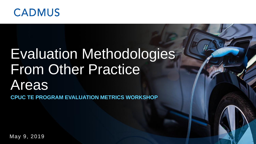

# Evaluation Methodologies From Other Practice Areas

**CPUC TE PROGRAM EVALUATION METRICS WORKSHOP**

May 9, 2019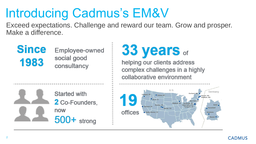### Introducing Cadmus's EM&V

Exceed expectations. Challenge and reward our team. Grow and prosper. Make a difference.

**Since** Employee-owned social good 1983 consultancy

## 33 years of

helping our clients address complex challenges in a highly collaborative environment



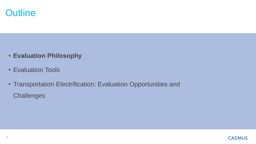

- **Evaluation Philosophy**
- Evaluation Tools
- Transportation Electrification: Evaluation Opportunities and **Challenges**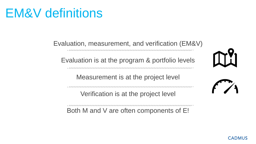### EM&V definitions

Evaluation, measurement, and verification (EM&V)

الماليان الماليان المشاري المشاري المشاري المشاري المشاري المشاري المشاري المشاري المشاري المشاري المشاري المشاري المشاري المشاري والمشاري والمشاري

Evaluation is at the program & portfolio levels

Measurement is at the project level

Verification is at the project level

Both M and V are often components of E!

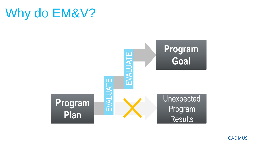



**CADMUS**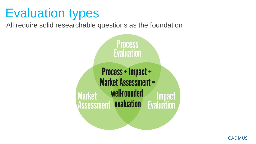### Evaluation types

All require solid researchable questions as the foundation

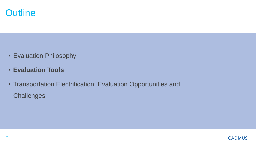

- Evaluation Philosophy
- **Evaluation Tools**
- Transportation Electrification: Evaluation Opportunities and **Challenges**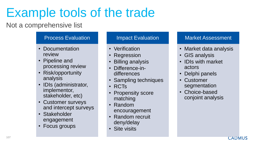### Example tools of the trade

### Not a comprehensive list

#### Process Evaluation

- Documentation review
- Pipeline and processing review
- Risk/opportunity analysis
- IDIs (administrator, implementor, stakeholder, etc)
- Customer surveys and intercept surveys
- Stakeholder engagement
- Focus groups

#### Impact Evaluation

- Verification
- Regression
- Billing analysis
- Difference-indifferences
- Sampling techniques
- RCTs
- Propensity score matching
- Random encouragement
- Random recruit deny/delay
- Site visits

#### Market Assessment

- Market data analysis
- GIS analysis
- IDIs with market actors
- Delphi panels
- Customer segmentation
- Choice-based conjoint analysis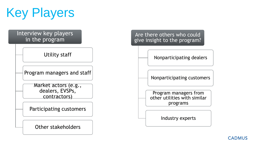

#### Interview key players in the program

Utility staff

Program managers and staff

Market actors (e.g., dealers, EVSPs, contractors)

Participating customers

Other stakeholders

#### Are there others who could give insight to the program?

Nonparticipating dealers

Nonparticipating customers

Program managers from other utilities with similar programs

Industry experts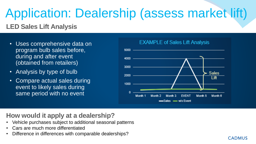### Application: Dealership (assess market lift)

### **LED Sales Lift Analysis**

- Uses comprehensive data on program bulb sales before, during and after event (obtained from retailers)
- Analysis by type of bulb
- Compare actual sales during event to likely sales during same period with no event



**CADMUS** 

#### **EXAMPLE of Sales Lift Analysis**

### **How would it apply at a dealership?**

- Vehicle purchases subject to additional seasonal patterns
- Cars are much more differentiated
- Difference in differences with comparable dealerships?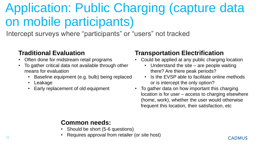### Application: Public Charging (capture data on mobile participants)

Intercept surveys where "participants" or "users" not tracked

#### **Traditional Evaluation**

- Often done for midstream retail programs
- To gather critical data not available through other means for evaluation
	- Baseline equipment (e.g. bulb) being replaced
	- **Leakage**
	- Early replacement of old equipment

### **Transportation Electrification**

- Could be applied at any public charging location
	- Understand the site are people waiting there? Are there peak periods?
	- Is the EVSP able to facilitate online methods or is intercept the only option?
- To gather data on how important this charging location is for user – access to charging elsewhere (home, work), whether the user would otherwise frequent this location, their satisfaction, etc

### **Common needs:**

- Should be short (5-6 questions)
- Requires approval from retailer (or site host)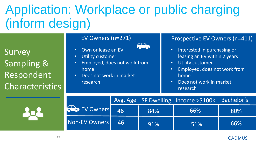### Application: Workplace or public charging (inform design)

Survey Sampling & Respondent **Characteristics** 

- Own or lease an EV
- Utility customer
- Employed, does not work from home
- Does not work in market research

#### EV Owners (n=271) Prospective EV Owners (n=411)

- Interested in purchasing or leasing an EV within 2 years
- Utility customer
- Employed, does not work from home
- Does not work in market research

|               |    |     | Avg. Age SF Dwelling Income >\$100k Bachelor's + |     |
|---------------|----|-----|--------------------------------------------------|-----|
| EV Owners     | 46 | 84% | 66%                                              | 80% |
| Non-EV Owners | 46 | 91% | 51%                                              | 66% |

#### **CADMUS**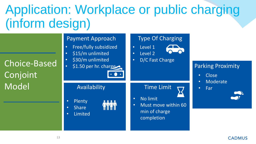### Application: Workplace or public charging (inform design)

| <b>Choice-Based</b><br>Conjoint<br>Model | <b>Payment Approach</b><br>Free/fully subsidized<br>$\bullet$<br>\$15/m unlimited<br>$\bullet$<br>\$30/m unlimited<br>$\bullet$<br>\$1.50 per hr. charge<br>$\bullet$ | <b>Type Of Charging</b><br>Level 1<br>$\bullet$<br>Level 2<br>$\bullet$<br>D/C Fast Charge<br>$\bullet$       | <b>Parking Proximity</b><br>Close<br>$\bullet$ |
|------------------------------------------|-----------------------------------------------------------------------------------------------------------------------------------------------------------------------|---------------------------------------------------------------------------------------------------------------|------------------------------------------------|
|                                          | Availability<br>Plenty<br>$\bullet$<br><b>Share</b><br>$\bullet$<br>Limited<br>$\bullet$                                                                              | <b>Time Limit</b><br>No limit<br>$\bullet$<br>Must move within 60<br>$\bullet$<br>min of charge<br>completion | Moderate<br>Far<br>$\bullet$<br><b>COLLEGE</b> |

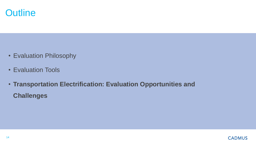

- Evaluation Philosophy
- Evaluation Tools
- **Transportation Electrification: Evaluation Opportunities and Challenges**

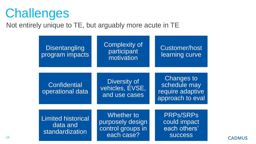### **Challenges**

Not entirely unique to TE, but arguably more acute in TE



**CADMUS**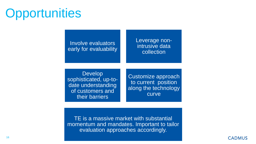### **Opportunities**

#### Leverage nonintrusive data collection

Develop sophisticated, up-todate understanding of customers and their barriers

Involve evaluators

early for evaluability

Customize approach to current position along the technology curve

TE is a massive market with substantial momentum and mandates. Important to tailor evaluation approaches accordingly.